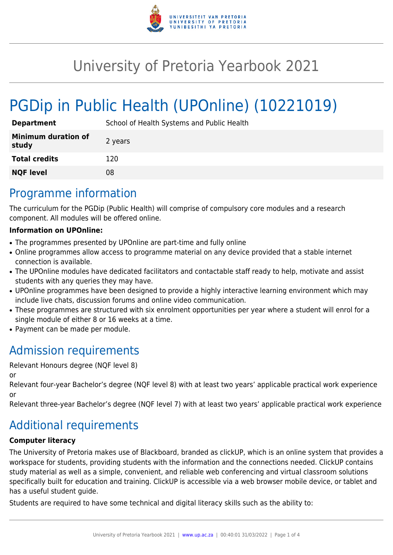

## University of Pretoria Yearbook 2021

# PGDip in Public Health (UPOnline) (10221019)

| <b>Department</b>                   | School of Health Systems and Public Health |
|-------------------------------------|--------------------------------------------|
| <b>Minimum duration of</b><br>study | 2 years                                    |
| <b>Total credits</b>                | 120                                        |
| <b>NQF level</b>                    | 08                                         |

### Programme information

The curriculum for the PGDip (Public Health) will comprise of compulsory core modules and a research component. All modules will be offered online.

#### **Information on UPOnline:**

- The programmes presented by UPOnline are part-time and fully online
- Online programmes allow access to programme material on any device provided that a stable internet connection is available.
- The UPOnline modules have dedicated facilitators and contactable staff ready to help, motivate and assist students with any queries they may have.
- UPOnline programmes have been designed to provide a highly interactive learning environment which may include live chats, discussion forums and online video communication.
- These programmes are structured with six enrolment opportunities per year where a student will enrol for a single module of either 8 or 16 weeks at a time.
- Payment can be made per module.

### Admission requirements

Relevant Honours degree (NQF level 8)

or

Relevant four-year Bachelor's degree (NQF level 8) with at least two years' applicable practical work experience or

Relevant three-year Bachelor's degree (NQF level 7) with at least two years' applicable practical work experience

### Additional requirements

#### **Computer literacy**

The University of Pretoria makes use of Blackboard, branded as clickUP, which is an online system that provides a workspace for students, providing students with the information and the connections needed. ClickUP contains study material as well as a simple, convenient, and reliable web conferencing and virtual classroom solutions specifically built for education and training. ClickUP is accessible via a web browser mobile device, or tablet and has a useful student guide.

Students are required to have some technical and digital literacy skills such as the ability to: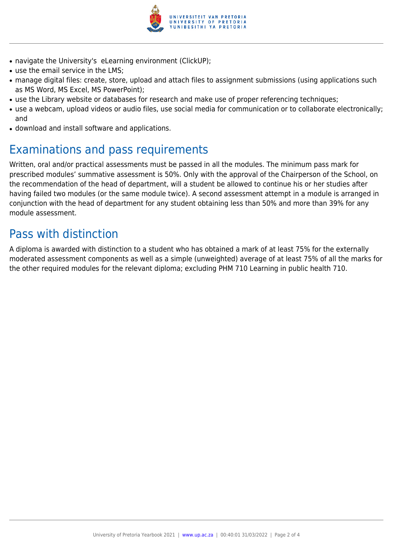

- navigate the University's eLearning environment (ClickUP);
- use the email service in the LMS:
- manage digital files: create, store, upload and attach files to assignment submissions (using applications such as MS Word, MS Excel, MS PowerPoint);
- use the Library website or databases for research and make use of proper referencing techniques;
- use a webcam, upload videos or audio files, use social media for communication or to collaborate electronically; and
- download and install software and applications.

### Examinations and pass requirements

Written, oral and/or practical assessments must be passed in all the modules. The minimum pass mark for prescribed modules' summative assessment is 50%. Only with the approval of the Chairperson of the School, on the recommendation of the head of department, will a student be allowed to continue his or her studies after having failed two modules (or the same module twice). A second assessment attempt in a module is arranged in conjunction with the head of department for any student obtaining less than 50% and more than 39% for any module assessment.

### Pass with distinction

A diploma is awarded with distinction to a student who has obtained a mark of at least 75% for the externally moderated assessment components as well as a simple (unweighted) average of at least 75% of all the marks for the other required modules for the relevant diploma; excluding PHM 710 Learning in public health 710.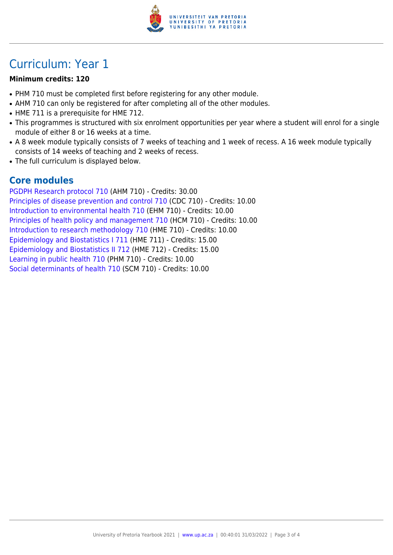

### Curriculum: Year 1

#### **Minimum credits: 120**

- PHM 710 must be completed first before registering for any other module.
- AHM 710 can only be registered for after completing all of the other modules.
- HME 711 is a prerequisite for HME 712.
- This programmes is structured with six enrolment opportunities per year where a student will enrol for a single module of either 8 or 16 weeks at a time.
- A 8 week module typically consists of 7 weeks of teaching and 1 week of recess. A 16 week module typically consists of 14 weeks of teaching and 2 weeks of recess.
- The full curriculum is displayed below.

#### **Core modules**

[PGDPH Research protocol 710](https://www.up.ac.za/yearbooks/2021/modules/view/AHM 710) (AHM 710) - Credits: 30.00 [Principles of disease prevention and control 710](https://www.up.ac.za/yearbooks/2021/modules/view/CDC 710) (CDC 710) - Credits: 10.00 [Introduction to environmental health 710](https://www.up.ac.za/yearbooks/2021/modules/view/EHM 710) (EHM 710) - Credits: 10.00 [Principles of health policy and management 710](https://www.up.ac.za/yearbooks/2021/modules/view/HCM 710) (HCM 710) - Credits: 10.00 [Introduction to research methodology 710](https://www.up.ac.za/yearbooks/2021/modules/view/HME 710) (HME 710) - Credits: 10.00 [Epidemiology and Biostatistics I 711](https://www.up.ac.za/yearbooks/2021/modules/view/HME 711) (HME 711) - Credits: 15.00 [Epidemiology and Biostatistics II 712](https://www.up.ac.za/yearbooks/2021/modules/view/HME 712) (HME 712) - Credits: 15.00 [Learning in public health 710](https://www.up.ac.za/yearbooks/2021/modules/view/PHM 710) (PHM 710) - Credits: 10.00 [Social determinants of health 710](https://www.up.ac.za/yearbooks/2021/modules/view/SCM 710) (SCM 710) - Credits: 10.00